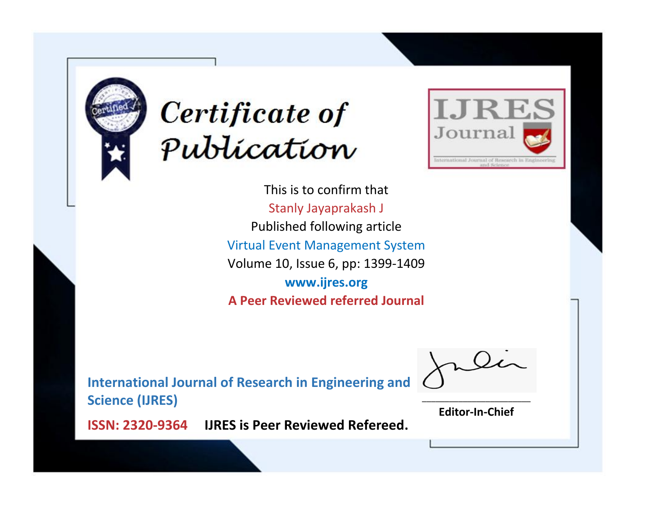



This is to confirm that Stanly Jayaprakash J Published following article Virtual Event Management System Volume 10, Issue 6, pp: 1399-1409 **www.ijres.org A Peer Reviewed referred Journal**

**International Journal of Research in Engineering and Science (IJRES)**

\_\_\_\_\_\_\_\_\_\_\_\_\_\_\_\_\_\_\_\_\_\_\_\_ **Editor-In-Chief**

**Journal.**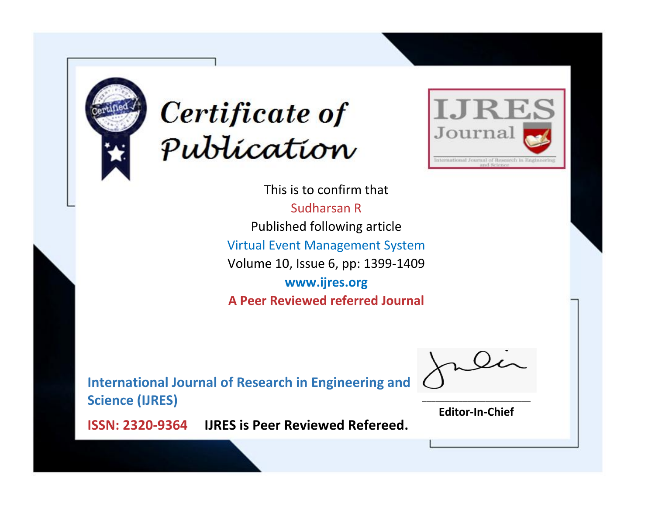



This is to confirm that Sudharsan R Published following article Virtual Event Management System Volume 10, Issue 6, pp: 1399-1409 **www.ijres.org A Peer Reviewed referred Journal**

**International Journal of Research in Engineering and Science (IJRES)**

\_\_\_\_\_\_\_\_\_\_\_\_\_\_\_\_\_\_\_\_\_\_\_\_ **Editor-In-Chief**

**Journal.**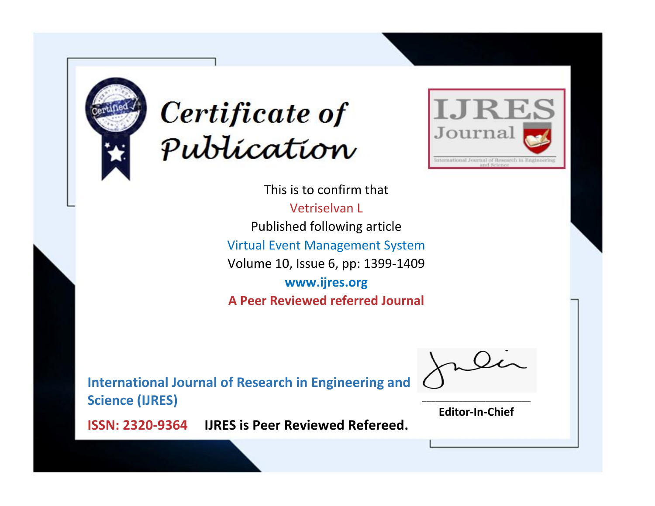



This is to confirm that Vetriselvan L Published following article Virtual Event Management System Volume 10, Issue 6, pp: 1399-1409 **www.ijres.org A Peer Reviewed referred Journal**

**International Journal of Research in Engineering and Science (IJRES)**

\_\_\_\_\_\_\_\_\_\_\_\_\_\_\_\_\_\_\_\_\_\_\_\_ **Editor-In-Chief**

**Journal.**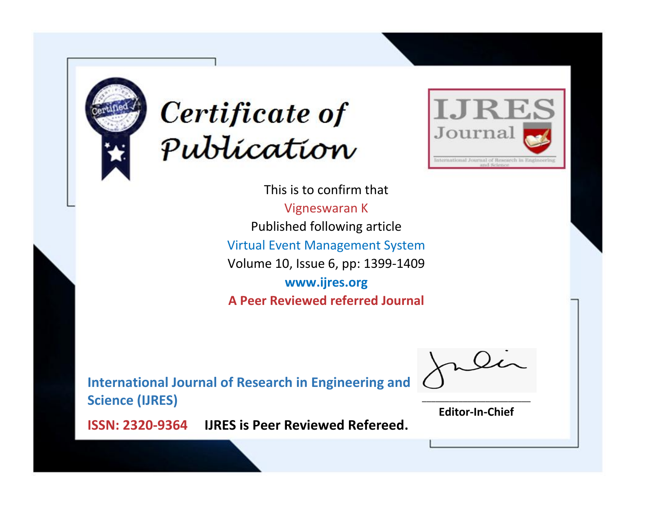



This is to confirm that Vigneswaran K Published following article Virtual Event Management System Volume 10, Issue 6, pp: 1399-1409 **www.ijres.org A Peer Reviewed referred Journal**

**International Journal of Research in Engineering and Science (IJRES)**

\_\_\_\_\_\_\_\_\_\_\_\_\_\_\_\_\_\_\_\_\_\_\_\_ **Editor-In-Chief**

**Journal.**